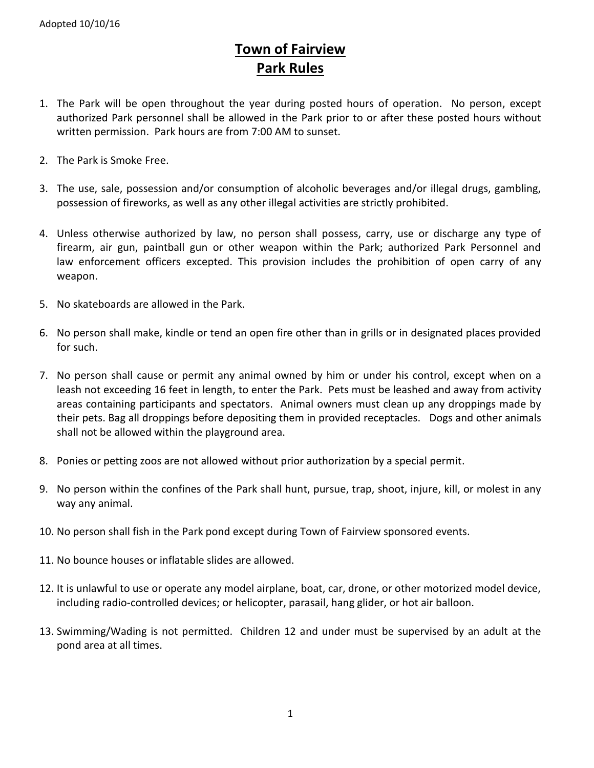# **Town of Fairview Park Rules**

- 1. The Park will be open throughout the year during posted hours of operation. No person, except authorized Park personnel shall be allowed in the Park prior to or after these posted hours without written permission. Park hours are from 7:00 AM to sunset.
- 2. The Park is Smoke Free.
- 3. The use, sale, possession and/or consumption of alcoholic beverages and/or illegal drugs, gambling, possession of fireworks, as well as any other illegal activities are strictly prohibited.
- 4. Unless otherwise authorized by law, no person shall possess, carry, use or discharge any type of firearm, air gun, paintball gun or other weapon within the Park; authorized Park Personnel and law enforcement officers excepted. This provision includes the prohibition of open carry of any weapon.
- 5. No skateboards are allowed in the Park.
- 6. No person shall make, kindle or tend an open fire other than in grills or in designated places provided for such.
- 7. No person shall cause or permit any animal owned by him or under his control, except when on a leash not exceeding 16 feet in length, to enter the Park. Pets must be leashed and away from activity areas containing participants and spectators. Animal owners must clean up any droppings made by their pets. Bag all droppings before depositing them in provided receptacles. Dogs and other animals shall not be allowed within the playground area.
- 8. Ponies or petting zoos are not allowed without prior authorization by a special permit.
- 9. No person within the confines of the Park shall hunt, pursue, trap, shoot, injure, kill, or molest in any way any animal.
- 10. No person shall fish in the Park pond except during Town of Fairview sponsored events.
- 11. No bounce houses or inflatable slides are allowed.
- 12. It is unlawful to use or operate any model airplane, boat, car, drone, or other motorized model device, including radio-controlled devices; or helicopter, parasail, hang glider, or hot air balloon.
- 13. Swimming/Wading is not permitted. Children 12 and under must be supervised by an adult at the pond area at all times.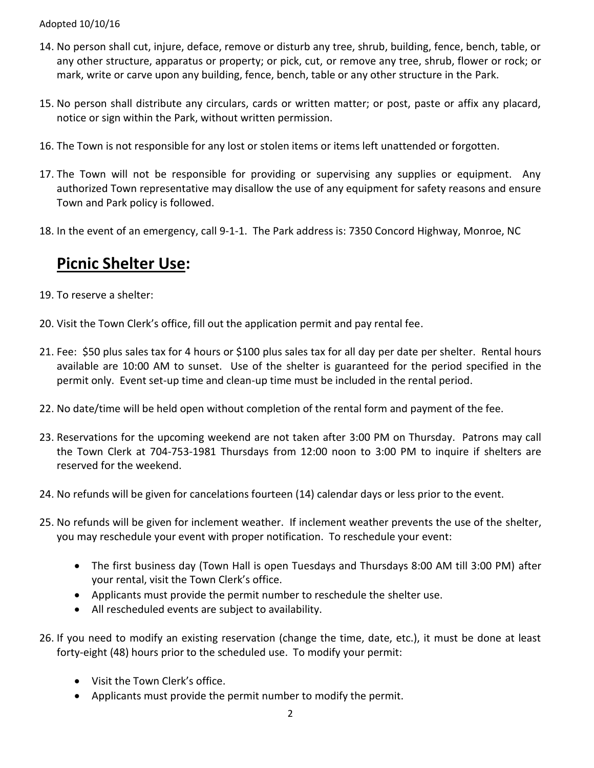### Adopted 10/10/16

- 14. No person shall cut, injure, deface, remove or disturb any tree, shrub, building, fence, bench, table, or any other structure, apparatus or property; or pick, cut, or remove any tree, shrub, flower or rock; or mark, write or carve upon any building, fence, bench, table or any other structure in the Park.
- 15. No person shall distribute any circulars, cards or written matter; or post, paste or affix any placard, notice or sign within the Park, without written permission.
- 16. The Town is not responsible for any lost or stolen items or items left unattended or forgotten.
- 17. The Town will not be responsible for providing or supervising any supplies or equipment. Any authorized Town representative may disallow the use of any equipment for safety reasons and ensure Town and Park policy is followed.
- 18. In the event of an emergency, call 9-1-1. The Park address is: 7350 Concord Highway, Monroe, NC

## **Picnic Shelter Use:**

- 19. To reserve a shelter:
- 20. Visit the Town Clerk's office, fill out the application permit and pay rental fee.
- 21. Fee: \$50 plus sales tax for 4 hours or \$100 plus sales tax for all day per date per shelter. Rental hours available are 10:00 AM to sunset. Use of the shelter is guaranteed for the period specified in the permit only. Event set-up time and clean-up time must be included in the rental period.
- 22. No date/time will be held open without completion of the rental form and payment of the fee.
- 23. Reservations for the upcoming weekend are not taken after 3:00 PM on Thursday. Patrons may call the Town Clerk at 704-753-1981 Thursdays from 12:00 noon to 3:00 PM to inquire if shelters are reserved for the weekend.
- 24. No refunds will be given for cancelations fourteen (14) calendar days or less prior to the event.
- 25. No refunds will be given for inclement weather. If inclement weather prevents the use of the shelter, you may reschedule your event with proper notification. To reschedule your event:
	- The first business day (Town Hall is open Tuesdays and Thursdays 8:00 AM till 3:00 PM) after your rental, visit the Town Clerk's office.
	- Applicants must provide the permit number to reschedule the shelter use.
	- All rescheduled events are subject to availability.
- 26. If you need to modify an existing reservation (change the time, date, etc.), it must be done at least forty-eight (48) hours prior to the scheduled use. To modify your permit:
	- Visit the Town Clerk's office.
	- Applicants must provide the permit number to modify the permit.